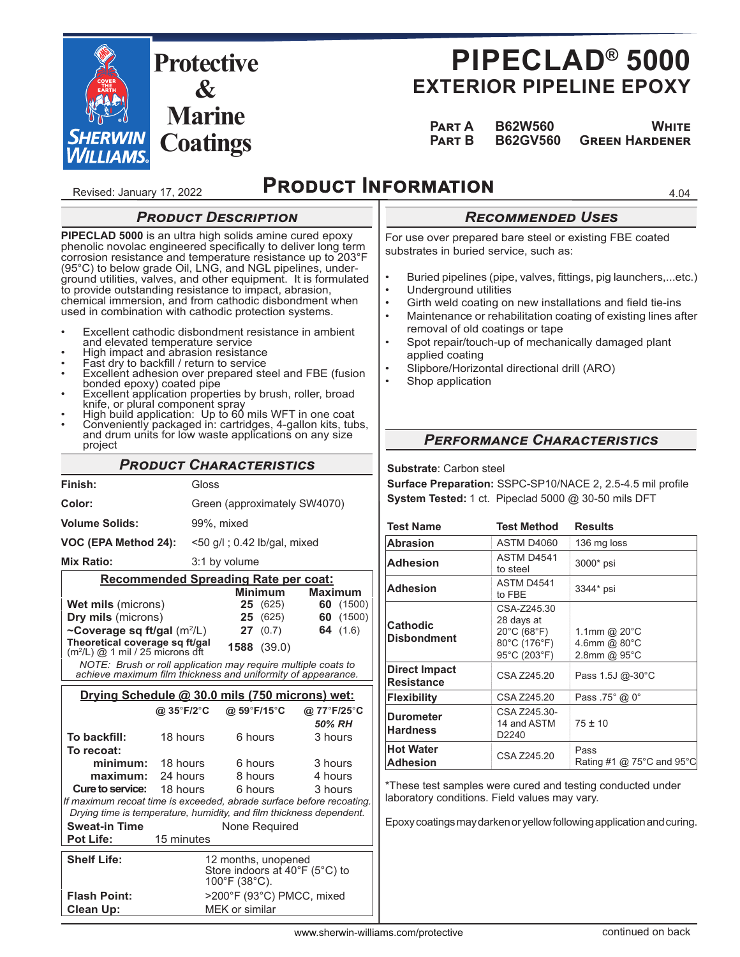

# **PIPECLAD® 5000 EXTERIOR PIPELINE EPOXY**

 **PART A B62W560 WHITE**<br>**PART B B62GV560 GREEN HARDENER Pඉකග B B62GV560 Gකඍඍඖ Hඉකඌඍඖඍක**

4.04

Revised: January 17, 2022

### **PRODUCT INFORMATION**

### *Rਤਢਮਬਬਤਭਣਤਣ Uਲਤਲ*

For use over prepared bare steel or existing FBE coated substrates in buried service, such as:

- 
- Buried pipelines (pipe, valves, fittings, pig launchers,...etc.)
- Underground utilities
- Girth weld coating on new installations and field tie-ins
- Maintenance or rehabilitation coating of existing lines after removal of old coatings or tape
- Spot repair/touch-up of mechanically damaged plant applied coating
- Slipbore/Horizontal directional drill (ARO)
- Shop application

#### bonded epoxy) coated pipe • Excellent application properties by brush, roller, broad knife, or plural component spray

Excellent adhesion over prepared steel and FBE (fusion

• Excellent cathodic disbondment resistance in ambient

and elevated temperature service • High impact and abrasion resistance Fast dry to backfill / return to service

**PRODUCT DESCRIPTION PIPECLAD 5000** is an ultra high solids amine cured epoxy phenolic novolac engineered specifically to deliver long term corrosion resistance and temperature resistance up to 203°F (95°C) to below grade Oil, LNG, and NGL pipelines, underground utilities, valves, and other equipment. It is formulated to provide outstanding resistance to impact, abrasion, chemical immersion, and from cathodic disbondment when used in combination with cathodic protection systems.

- High build application: Up to 60 mils WFT in one coat
- Conveniently packaged in: cartridges, 4-gallon kits, tubs, and drum units for low waste applications on any size project

### **PRODUCT CHARACTERISTICS**

| Finish:                                                                                                                       |                                             | Gloss                             |                 |                                |  |
|-------------------------------------------------------------------------------------------------------------------------------|---------------------------------------------|-----------------------------------|-----------------|--------------------------------|--|
| Color:                                                                                                                        | Green (approximately SW4070)                |                                   |                 |                                |  |
| <b>Volume Solids:</b>                                                                                                         |                                             | 99%, mixed                        |                 |                                |  |
| VOC (EPA Method 24):                                                                                                          |                                             | $\leq$ 50 g/l; 0.42 lb/gal, mixed |                 |                                |  |
| Mix Ratio:                                                                                                                    |                                             | 3:1 by volume                     |                 |                                |  |
| Recommended Spreading Rate per coat:                                                                                          |                                             |                                   |                 |                                |  |
|                                                                                                                               |                                             |                                   | <b>Minimum</b>  | <b>Maximum</b>                 |  |
| <b>Wet mils (microns)</b>                                                                                                     |                                             |                                   | <b>25</b> (625) | 60 (1500)                      |  |
| Dry mils (microns)                                                                                                            |                                             |                                   | 25(625)         | 60<br>(1500)                   |  |
| ~Coverage sq ft/gal $(m^2/L)$                                                                                                 |                                             |                                   | 27(0.7)         | 64 $(1.6)$                     |  |
| Theoretical coverage sg ft/gal                                                                                                |                                             |                                   | 1588 (39.0)     |                                |  |
| $(m2/L)$ @ 1 mil / 25 microns dft                                                                                             |                                             |                                   |                 |                                |  |
| NOTE: Brush or roll application may require multiple coats to<br>achieve maximum film thickness and uniformity of appearance. |                                             |                                   |                 |                                |  |
|                                                                                                                               |                                             |                                   |                 |                                |  |
| Drying Schedule @ 30.0 mils (750 microns) wet:                                                                                |                                             |                                   |                 |                                |  |
|                                                                                                                               | @ 35°F/2°C                                  |                                   | @ 59°F/15°C     | @ 77°F/25°C                    |  |
|                                                                                                                               |                                             |                                   |                 | 50% RH                         |  |
| To backfill:                                                                                                                  | 18 hours                                    |                                   | 6 hours         | 3 hours                        |  |
| To recoat:                                                                                                                    |                                             |                                   |                 |                                |  |
| minimum: 18 hours                                                                                                             |                                             |                                   | 6 hours         | 3 hours                        |  |
| maximum:                                                                                                                      | 24 hours                                    | 8 hours                           |                 | 4 hours                        |  |
| Cure to service:                                                                                                              | 18 hours                                    | 6 hours                           |                 | 3 hours                        |  |
| If maximum recoat time is exceeded, abrade surface before recoating.                                                          |                                             |                                   |                 |                                |  |
| Drying time is temperature, humidity, and film thickness dependent.                                                           |                                             |                                   |                 |                                |  |
| <b>Sweat-in Time</b>                                                                                                          |                                             |                                   | None Required   |                                |  |
| <b>Pot Life:</b>                                                                                                              | 15 minutes                                  |                                   |                 |                                |  |
| <b>Shelf Life:</b>                                                                                                            |                                             | 12 months, unopened               |                 |                                |  |
|                                                                                                                               |                                             |                                   |                 | Store indoors at 40°F (5°C) to |  |
|                                                                                                                               |                                             | 100°F (38°C).                     |                 |                                |  |
| <b>Flash Point:</b>                                                                                                           | >200°F (93°C) PMCC, mixed<br>MEK or similar |                                   |                 |                                |  |
| <b>Clean Up:</b>                                                                                                              |                                             |                                   |                 |                                |  |

### **PERFORMANCE CHARACTERISTICS**

**Substrate**: Carbon steel

Surface Preparation: SSPC-SP10/NACE 2, 2.5-4.5 mil profile **System Tested:** 1 ct. Pipeclad 5000 @ 30-50 mils DFT

| <b>Test Name</b>                          | <b>Test Method</b>                                                       | <b>Results</b>                                         |
|-------------------------------------------|--------------------------------------------------------------------------|--------------------------------------------------------|
| <b>Abrasion</b>                           | <b>ASTM D4060</b>                                                        | 136 mg loss                                            |
| <b>Adhesion</b>                           | ASTM D4541<br>to steel                                                   | 3000* psi                                              |
| <b>Adhesion</b>                           | ASTM D4541<br>to FBE                                                     | 3344* psi                                              |
| <b>Cathodic</b><br><b>Disbondment</b>     | CSA-Z245.30<br>28 days at<br>20°C (68°F)<br>80°C (176°F)<br>95°C (203°F) | 1.1mm @ $20^{\circ}$ C<br>4.6mm @ 80°C<br>2.8mm @ 95°C |
| <b>Direct Impact</b><br><b>Resistance</b> | CSA Z245.20                                                              | Pass 1.5J @-30°C                                       |
| <b>Flexibility</b>                        | CSA Z245.20                                                              | Pass .75° @ 0°                                         |
| <b>Durometer</b><br><b>Hardness</b>       | CSA Z245.30-<br>14 and ASTM<br>D2240                                     | $75 \pm 10$                                            |
| <b>Hot Water</b><br><b>Adhesion</b>       | CSA Z245.20                                                              | Pass<br>Rating #1 @ $75^{\circ}$ C and 95 $^{\circ}$ C |

\*These test samples were cured and testing conducted under laboratory conditions. Field values may vary.

Epoxy coatings may darken or yellow following application and curing.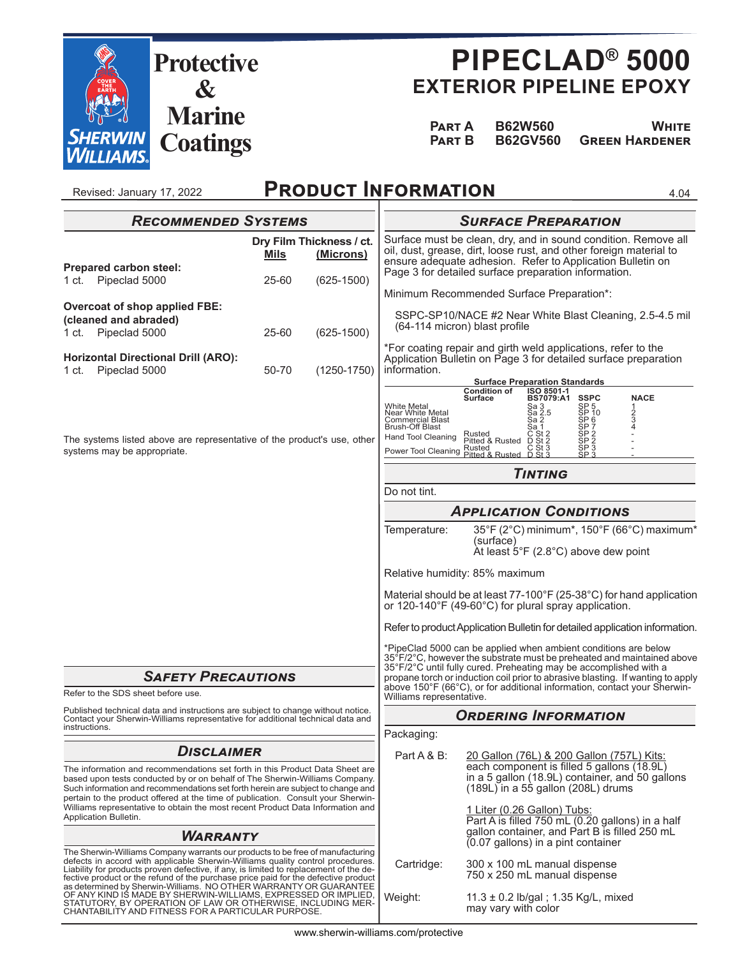

Revised: January 17, 2022

## **PIPECLAD® 5000 EXTERIOR PIPELINE EPOXY**

| PART A | <b>B62W560</b> | <b>WHITE</b>                          |
|--------|----------------|---------------------------------------|
|        |                | <b>PART B B62GV560 GREEN HARDENER</b> |

**PRODUCT INFORMATION** 

4.04

| <b>RECOMMENDED SYSTEMS</b>                                                                                                                                                                                                                                                                                                                                                                                                                    |             | <b>SURFACE PREPARATION</b>            |                                                                                                                                                                                                    |                                                                                                                                                                                                                                                                                                                                                                               |  |
|-----------------------------------------------------------------------------------------------------------------------------------------------------------------------------------------------------------------------------------------------------------------------------------------------------------------------------------------------------------------------------------------------------------------------------------------------|-------------|---------------------------------------|----------------------------------------------------------------------------------------------------------------------------------------------------------------------------------------------------|-------------------------------------------------------------------------------------------------------------------------------------------------------------------------------------------------------------------------------------------------------------------------------------------------------------------------------------------------------------------------------|--|
| Prepared carbon steel:                                                                                                                                                                                                                                                                                                                                                                                                                        | <b>Mils</b> | Dry Film Thickness / ct.<br>(Microns) | Surface must be clean, dry, and in sound condition. Remove all<br>oil, dust, grease, dirt, loose rust, and other foreign material to<br>ensure adequate adhesion. Refer to Application Bulletin on |                                                                                                                                                                                                                                                                                                                                                                               |  |
| Pipeclad 5000<br>1 ct.                                                                                                                                                                                                                                                                                                                                                                                                                        | 25-60       | $(625-1500)$                          |                                                                                                                                                                                                    | Page 3 for detailed surface preparation information.<br>Minimum Recommended Surface Preparation*:                                                                                                                                                                                                                                                                             |  |
| Overcoat of shop applied FBE:<br>(cleaned and abraded)                                                                                                                                                                                                                                                                                                                                                                                        |             |                                       |                                                                                                                                                                                                    | SSPC-SP10/NACE #2 Near White Blast Cleaning, 2.5-4.5 mil<br>(64-114 micron) blast profile                                                                                                                                                                                                                                                                                     |  |
| Pipeclad 5000<br>1 ct.                                                                                                                                                                                                                                                                                                                                                                                                                        | 25-60       | $(625-1500)$                          |                                                                                                                                                                                                    | *For coating repair and girth weld applications, refer to the                                                                                                                                                                                                                                                                                                                 |  |
| <b>Horizontal Directional Drill (ARO):</b><br>Pipeclad 5000<br>1 ct.                                                                                                                                                                                                                                                                                                                                                                          | 50-70       | $(1250 - 1750)$                       | information.                                                                                                                                                                                       | Application Bulletin on Page 3 for detailed surface preparation<br><b>Surface Preparation Standards</b>                                                                                                                                                                                                                                                                       |  |
| The systems listed above are representative of the product's use, other<br>systems may be appropriate.                                                                                                                                                                                                                                                                                                                                        |             |                                       | <b>White Metal</b><br>Near White Metal<br><b>Commercial Blast</b><br>Brush-Off Blast<br><b>Hand Tool Cleaning</b><br>Power Tool Cleaning                                                           | <b>Condition of</b><br>ISO 8501-1<br><b>NACE</b><br><b>SSPC</b><br><b>Surface</b><br>BS7079:A1<br>SP <sub>5</sub><br>Sa 3<br>Sa 2.5<br>1<br>2<br>3<br>4<br>ŠP 10<br>SP <sub>6</sub><br>Sa 2<br>SP 7<br>Sa 1<br>SP <sub>2</sub><br>$\overline{C}_{\text{S}t}^{\text{S}t2}$<br>Rusted<br>Pitted & Rusted<br>SP 2<br>SP 3<br>SP 3<br>Rusted<br>Pitted & Rusted<br>$St$ $\Omega$  |  |
|                                                                                                                                                                                                                                                                                                                                                                                                                                               |             | <b>TINTING</b>                        |                                                                                                                                                                                                    |                                                                                                                                                                                                                                                                                                                                                                               |  |
|                                                                                                                                                                                                                                                                                                                                                                                                                                               |             |                                       | Do not tint.                                                                                                                                                                                       |                                                                                                                                                                                                                                                                                                                                                                               |  |
|                                                                                                                                                                                                                                                                                                                                                                                                                                               |             |                                       | <b>APPLICATION CONDITIONS</b>                                                                                                                                                                      |                                                                                                                                                                                                                                                                                                                                                                               |  |
|                                                                                                                                                                                                                                                                                                                                                                                                                                               |             |                                       | Temperature:                                                                                                                                                                                       | 35°F (2°C) minimum*, 150°F (66°C) maximum*<br>(surface)<br>$\hat{A}$ t least 5°F (2.8°C) above dew point                                                                                                                                                                                                                                                                      |  |
|                                                                                                                                                                                                                                                                                                                                                                                                                                               |             |                                       |                                                                                                                                                                                                    | Relative humidity: 85% maximum                                                                                                                                                                                                                                                                                                                                                |  |
|                                                                                                                                                                                                                                                                                                                                                                                                                                               |             |                                       |                                                                                                                                                                                                    | Material should be at least 77-100°F (25-38°C) for hand application<br>or 120-140°F (49-60°C) for plural spray application.                                                                                                                                                                                                                                                   |  |
|                                                                                                                                                                                                                                                                                                                                                                                                                                               |             |                                       |                                                                                                                                                                                                    | Refer to product Application Bulletin for detailed application information.                                                                                                                                                                                                                                                                                                   |  |
| <b>SAFETY PRECAUTIONS</b>                                                                                                                                                                                                                                                                                                                                                                                                                     |             |                                       |                                                                                                                                                                                                    | *PipeClad 5000 can be applied when ambient conditions are below<br>35°F/2°C, however the substrate must be preheated and maintained above<br>35°F/2°C until fully cured. Preheating may be accomplished with a<br>propane torch or induction coil prior to abrasive blasting. If wanting to apply<br>above 150°F (66°C), or for additional information, contact your Sherwin- |  |
| Refer to the SDS sheet before use.<br>Published technical data and instructions are subject to change without notice.<br>Contact your Sherwin-Williams representative for additional technical data and<br>instructions.                                                                                                                                                                                                                      |             | Williams representative.              |                                                                                                                                                                                                    |                                                                                                                                                                                                                                                                                                                                                                               |  |
|                                                                                                                                                                                                                                                                                                                                                                                                                                               |             | Packaging:                            | <b>ORDERING INFORMATION</b>                                                                                                                                                                        |                                                                                                                                                                                                                                                                                                                                                                               |  |
| <b>DISCLAIMER</b>                                                                                                                                                                                                                                                                                                                                                                                                                             |             |                                       | Part A & B:                                                                                                                                                                                        | 20 Gallon (76L) & 200 Gallon (757L) Kits:                                                                                                                                                                                                                                                                                                                                     |  |
| The information and recommendations set forth in this Product Data Sheet are<br>based upon tests conducted by or on behalf of The Sherwin-Williams Company.<br>Such information and recommendations set forth herein are subject to change and<br>pertain to the product offered at the time of publication. Consult your Sherwin-<br>Williams representative to obtain the most recent Product Data Information and<br>Application Bulletin. |             |                                       | each component is filled 5 gallons (18.9L)<br>in a 5 gallon (18.9L) container, and 50 gallons<br>$(189L)$ in a 55 gallon $(208L)$ drums                                                            |                                                                                                                                                                                                                                                                                                                                                                               |  |
|                                                                                                                                                                                                                                                                                                                                                                                                                                               |             |                                       |                                                                                                                                                                                                    | 1 Liter (0.26 Gallon) Tubs:<br>Part A is filled 750 mL (0.20 gallons) in a half                                                                                                                                                                                                                                                                                               |  |
| <b>WARRANTY</b>                                                                                                                                                                                                                                                                                                                                                                                                                               |             |                                       |                                                                                                                                                                                                    | gallon container, and Part B is filled 250 mL<br>(0.07 gallons) in a pint container                                                                                                                                                                                                                                                                                           |  |
| The Sherwin-Williams Company warrants our products to be free of manufacturing<br>defects in accord with applicable Sherwin-Williams quality control procedures.<br>Liability for products proven defective, if any, is limited to replacement of the de-<br>fective product or the refund of the purchase price paid for the defective product<br>as determined by Sherwin-Williams. NO OTHER WARRANTY OR GUARANTEE                          |             |                                       | Cartridge:                                                                                                                                                                                         | 300 x 100 mL manual dispense<br>750 x 250 mL manual dispense                                                                                                                                                                                                                                                                                                                  |  |
| OF ANY KIND IS MADE BY SHERWIN-WILLIAMS, EXPRESSED OR IMPLIED,<br>STATUTORY, BY OPERATION OF LAW OR OTHERWISE, INCLUDING MER-<br>CHANTABILITY AND FITNESS FOR A PARTICULAR PURPOSE.                                                                                                                                                                                                                                                           |             |                                       | Weight:                                                                                                                                                                                            | 11.3 ± 0.2 lb/gal; 1.35 Kg/L, mixed<br>may vary with color                                                                                                                                                                                                                                                                                                                    |  |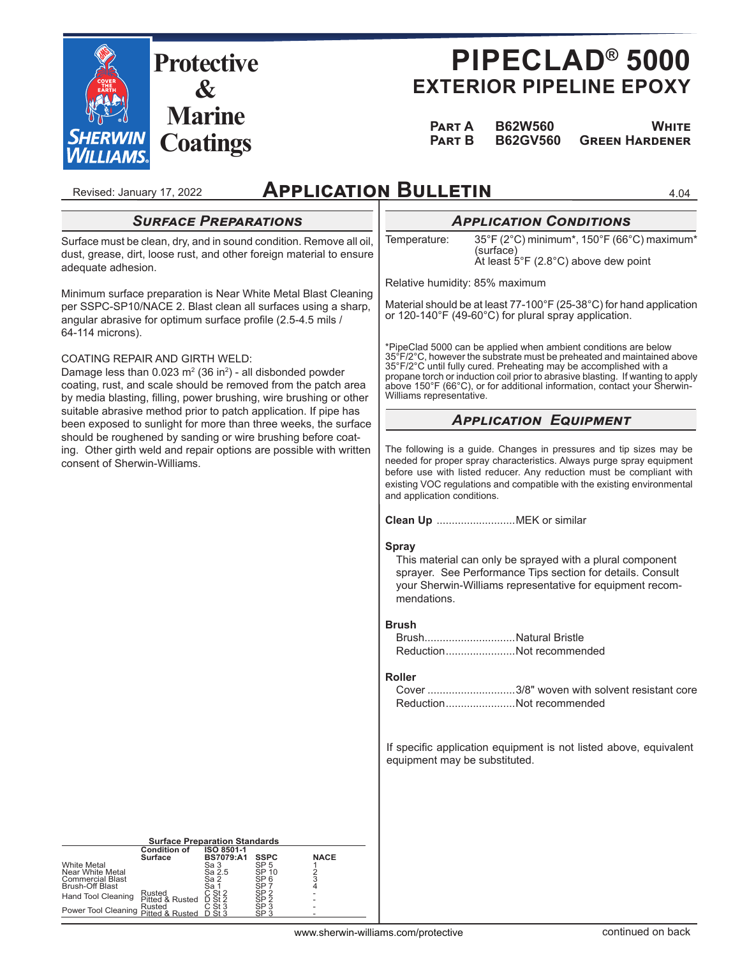

# **PIPECLAD® 5000 EXTERIOR PIPELINE EPOXY**

 **PART A B62W560 WHITE Pඉකග B B62GV560 Gකඍඍඖ Hඉකඌඍඖඍක**

4.04

## **APPLICATION BULLETIN**

#### Revised: January 17, 2022 **SURFACE PREPARATIONS** Surface must be clean, dry, and in sound condition. Remove all oil, dust, grease, dirt, loose rust, and other foreign material to ensure adequate adhesion. Minimum surface preparation is Near White Metal Blast Cleaning per SSPC-SP10/NACE 2. Blast clean all surfaces using a sharp, angular abrasive for optimum surface profile (2.5-4.5 mils / 64-114 microns). COATING REPAIR AND GIRTH WELD: Damage less than  $0.023$  m<sup>2</sup> (36 in<sup>2</sup>) - all disbonded powder coating, rust, and scale should be removed from the patch area by media blasting, filling, power brushing, wire brushing or other suitable abrasive method prior to patch application. If pipe has been exposed to sunlight for more than three weeks, the surface should be roughened by sanding or wire brushing before coating. Other girth weld and repair options are possible with written consent of Sherwin-Williams. **Surface Preparation Standards Condition of Surface ISO 8501-1 BS7079:A1 SSPC NACE** White Metal Sa 3 SP 5 1 Near White Metal Sa 2.5 SP 10 2 Commercial Blast Sa 2 SP 6 3 **APPLICATION CONDITIONS** Temperature: 35°F (2°C) minimum\*, 150°F (66°C) maximum\* (surface) At least 5°F (2.8°C) above dew point Relative humidity: 85% maximum Material should be at least 77-100°F (25-38°C) for hand application or 120-140°F (49-60°C) for plural spray application. \*PipeClad 5000 can be applied when ambient conditions are below 35°F/2°C, however the substrate must be preheated and maintained above 35°F/2°C until fully cured. Preheating may be accomplished with a propane torch or induction coil prior to abrasive blasting. If wanting to apply above 150°F (66°C), or for additional information, contact your Sherwin-Williams representative. **APPLICATION EQUIPMENT** The following is a guide. Changes in pressures and tip sizes may be needed for proper spray characteristics. Always purge spray equipment before use with listed reducer. Any reduction must be compliant with existing VOC regulations and compatible with the existing environmental and application conditions. **Clean Up** ..........................MEK or similar **Spray** This material can only be sprayed with a plural component sprayer. See Performance Tips section for details. Consult your Sherwin-Williams representative for equipment recommendations. **Brush** Brush..............................Natural Bristle Reduction .......................Not recommended **Roller** Cover .............................3/8" woven with solvent resistant core Reduction .......................Not recommended If specific application equipment is not listed above, equivalent equipment may be substituted.